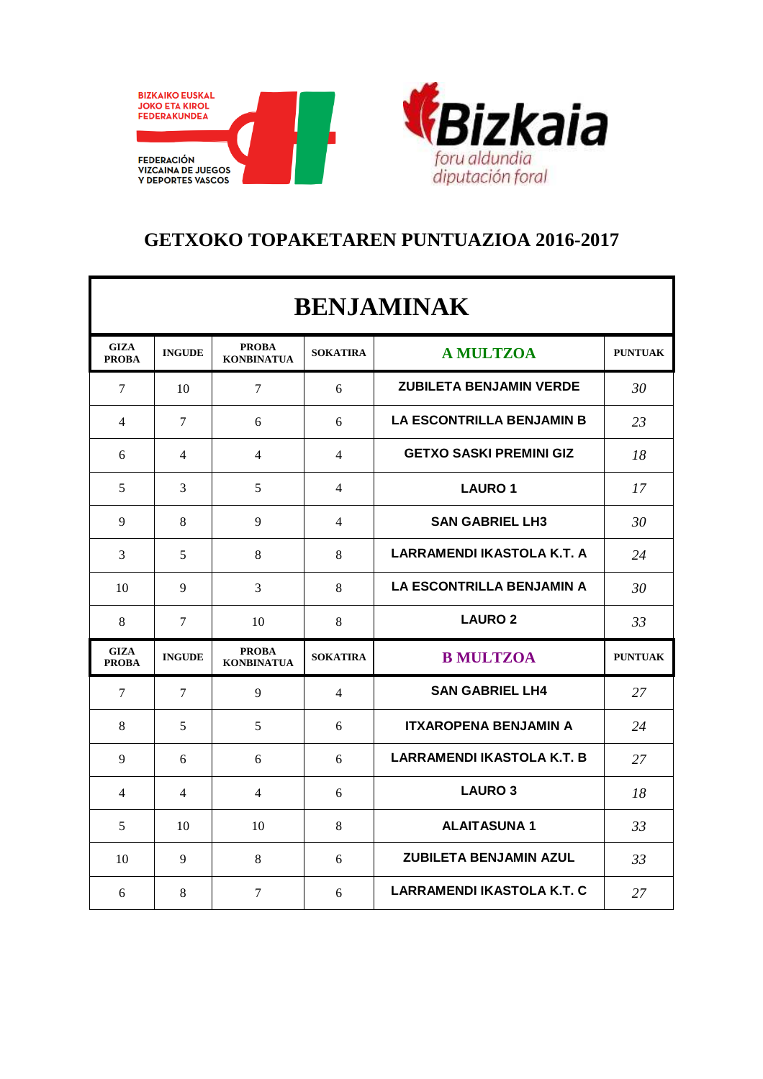



## **GETXOKO TOPAKETAREN PUNTUAZIOA 2016-2017**

| <b>BENJAMINAK</b>           |               |                                   |                 |                                   |                |  |  |  |
|-----------------------------|---------------|-----------------------------------|-----------------|-----------------------------------|----------------|--|--|--|
| <b>GIZA</b><br><b>PROBA</b> | <b>INGUDE</b> | <b>PROBA</b><br><b>KONBINATUA</b> | <b>SOKATIRA</b> | <b>A MULTZOA</b>                  | <b>PUNTUAK</b> |  |  |  |
| $\tau$                      | 10            | $\tau$                            | 6               | <b>ZUBILETA BENJAMIN VERDE</b>    | 30             |  |  |  |
| 4                           | 7             | 6                                 | 6               | <b>LA ESCONTRILLA BENJAMIN B</b>  | 23             |  |  |  |
| 6                           | 4             | 4                                 | 4               | <b>GETXO SASKI PREMINI GIZ</b>    | 18             |  |  |  |
| 5                           | 3             | 5                                 | 4               | <b>LAURO 1</b>                    | 17             |  |  |  |
| 9                           | 8             | 9                                 | 4               | <b>SAN GABRIEL LH3</b>            | 30             |  |  |  |
| 3                           | 5             | 8                                 | 8               | <b>LARRAMENDI IKASTOLA K.T. A</b> | 24             |  |  |  |
| 10                          | 9             | 3                                 | 8               | <b>LA ESCONTRILLA BENJAMIN A</b>  | 30             |  |  |  |
| 8                           | 7             | 10                                | 8               | <b>LAURO 2</b>                    | 33             |  |  |  |
| <b>GIZA</b><br><b>PROBA</b> | <b>INGUDE</b> | <b>PROBA</b><br><b>KONBINATUA</b> | <b>SOKATIRA</b> | <b>B MULTZOA</b>                  | <b>PUNTUAK</b> |  |  |  |
| 7                           | 7             | 9                                 | 4               | <b>SAN GABRIEL LH4</b>            | 27             |  |  |  |
| 8                           | 5             | 5                                 | 6               | <b>ITXAROPENA BENJAMIN A</b>      | 24             |  |  |  |
| 9                           | 6             | 6                                 | 6               | <b>LARRAMENDI IKASTOLA K.T. B</b> | 27             |  |  |  |
| 4                           | 4             | 4                                 | 6               | <b>LAURO 3</b>                    | 18             |  |  |  |
| 5                           | 10            | 10                                | 8               | <b>ALAITASUNA1</b>                | 33             |  |  |  |
| 10                          | 9             | 8                                 | 6               | <b>ZUBILETA BENJAMIN AZUL</b>     | 33             |  |  |  |
| 6                           | 8             | $\overline{7}$                    | 6               | LARRAMENDI IKASTOLA K.T. C        | 27             |  |  |  |